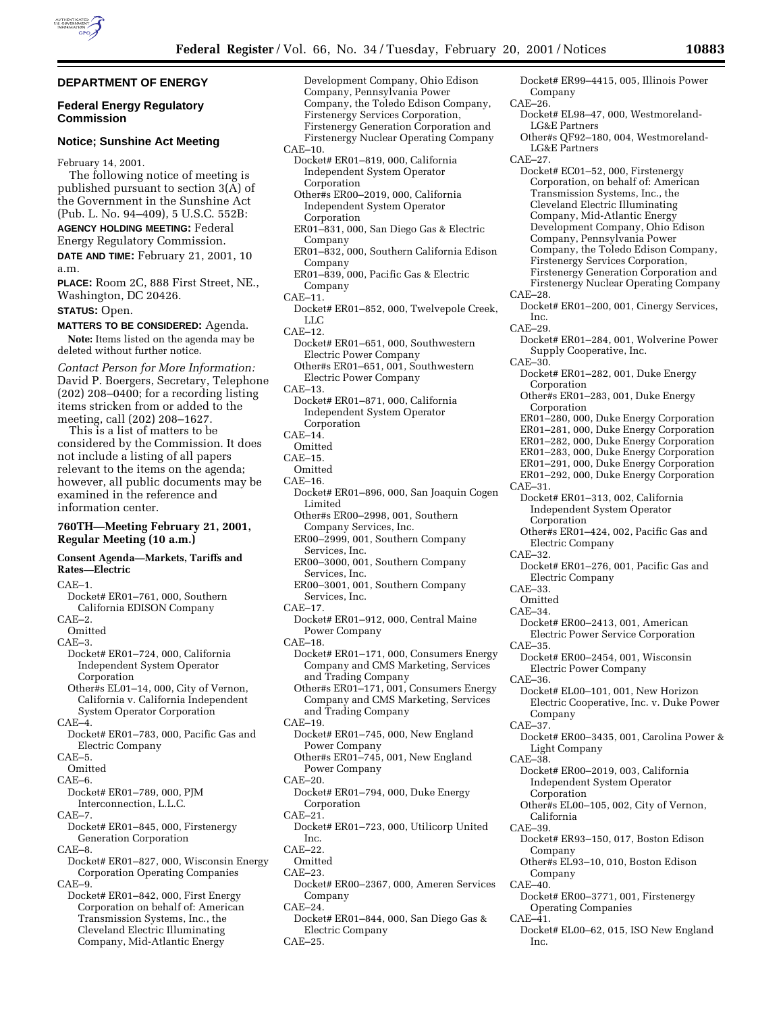Company

Inc.

Corporation

Corporation

**Corporation** 

Company

Light Company

Corporation

California

Company

Company

Inc.

Operating Companies

Electric Company

Electric Company

Supply Cooperative, Inc.

Independent System Operator

Electric Power Service Corporation

Electric Cooperative, Inc. v. Duke Power

Electric Power Company

Independent System Operator

LG&E Partners

LG&E Partners

Corporation, on behalf of: American Transmission Systems, Inc., the Cleveland Electric Illuminating Company, Mid-Atlantic Energy Development Company, Ohio Edison Company, Pennsylvania Power Company, the Toledo Edison Company, Firstenergy Services Corporation, Firstenergy Generation Corporation and Firstenergy Nuclear Operating Company

#### **DEPARTMENT OF ENERGY Federal Energy Regulatory Commission Notice; Sunshine Act Meeting** February 14, 2001. The following notice of meeting is published pursuant to section 3(A) of the Government in the Sunshine Act (Pub. L. No. 94–409), 5 U.S.C. 552B: **AGENCY HOLDING MEETING:** Federal Energy Regulatory Commission. **DATE AND TIME:** February 21, 2001, 10 a.m. **PLACE:** Room 2C, 888 First Street, NE., Washington, DC 20426. **STATUS:** Open. **MATTERS TO BE CONSIDERED:** Agenda. **Note:** Items listed on the agenda may be deleted without further notice. *Contact Person for More Information:* David P. Boergers, Secretary, Telephone (202) 208–0400; for a recording listing items stricken from or added to the meeting, call (202) 208–1627. This is a list of matters to be considered by the Commission. It does not include a listing of all papers relevant to the items on the agenda; however, all public documents may be examined in the reference and information center. **760TH—Meeting February 21, 2001, Regular Meeting (10 a.m.) Consent Agenda—Markets, Tariffs and Rates—Electric**  $CATE-1$ Docket# ER01–761, 000, Southern California EDISON Company  $CAF-2$ Omitted CAE–3. Docket# ER01–724, 000, California Independent System Operator Corporation Other#s EL01–14, 000, City of Vernon, California v. California Independent System Operator Corporation  $CAF-4$ Docket# ER01–783, 000, Pacific Gas and Electric Company  $CAF-5$ **Omitted** CAE–6. Docket# ER01–789, 000, PJM Interconnection, L.L.C.  $CAF-7$ Docket# ER01–845, 000, Firstenergy Generation Corporation CAE–8. Docket# ER01–827, 000, Wisconsin Energy Corporation Operating Companies CAE–9. Docket# ER01–842, 000, First Energy Corporation on behalf of: American Transmission Systems, Inc., the Cleveland Electric Illuminating Company, Mid-Atlantic Energy Development Company, Ohio Edison Company, Pennsylvania Power Company, the Toledo Edison Company, Firstenergy Services Corporation, Firstenergy Generation Corporation and Firstenergy Nuclear Operating Company CAE–10. Docket# ER01–819, 000, California Independent System Operator Corporation Other#s ER00–2019, 000, California Independent System Operator Corporation ER01–831, 000, San Diego Gas & Electric Company ER01–832, 000, Southern California Edison Company ER01–839, 000, Pacific Gas & Electric Company CAE–11. Docket# ER01–852, 000, Twelvepole Creek, LLC CAE–12. Docket# ER01–651, 000, Southwestern Electric Power Company Other#s ER01–651, 001, Southwestern Electric Power Company CAE–13. Docket# ER01–871, 000, California Independent System Operator Corporation CAE–14. **Omitted** CAE–15. Omitted  $CAE-16$ Docket# ER01–896, 000, San Joaquin Cogen Limited Other#s ER00–2998, 001, Southern Company Services, Inc. ER00–2999, 001, Southern Company Services, Inc. ER00–3000, 001, Southern Company Services, Inc. ER00–3001, 001, Southern Company Services, Inc. CAE–17. Docket# ER01–912, 000, Central Maine Power Company CAE–18. Docket# ER01–171, 000, Consumers Energy Company and CMS Marketing, Services and Trading Company Other#s ER01–171, 001, Consumers Energy Company and CMS Marketing, Services and Trading Company CAE–19. Docket# ER01–745, 000, New England Power Company Other#s ER01–745, 001, New England Power Company CAE–20. Docket# ER01–794, 000, Duke Energy Corporation  $CAF-21$ Docket# ER01–723, 000, Utilicorp United Inc.  $CAF=22.$ Omitted  $CAF-23$ Docket# ER00–2367, 000, Ameren Services Company CAE–24. Docket# ER01–844, 000, San Diego Gas & Electric Company CAE–25. Docket# ER99–4415, 005, Illinois Power CAE–26. Docket# EL98–47, 000, Westmoreland-Other#s QF92–180, 004, Westmoreland-CAE–27. Docket# EC01–52, 000, Firstenergy CAE–28. Docket# ER01–200, 001, Cinergy Services, CAE–29. Docket# ER01–284, 001, Wolverine Power CAE–30. Docket# ER01–282, 001, Duke Energy Other#s ER01–283, 001, Duke Energy ER01–280, 000, Duke Energy Corporation ER01–281, 000, Duke Energy Corporation ER01–282, 000, Duke Energy Corporation ER01–283, 000, Duke Energy Corporation ER01–291, 000, Duke Energy Corporation ER01–292, 000, Duke Energy Corporation CAE–31. Docket# ER01–313, 002, California Other#s ER01–424, 002, Pacific Gas and CAE–32. Docket# ER01–276, 001, Pacific Gas and CAE–33. Omitted CAE–34. Docket# ER00–2413, 001, American CAE–35. Docket# ER00–2454, 001, Wisconsin  $CAE-36$ Docket# EL00–101, 001, New Horizon CAE–37. Docket# ER00–3435, 001, Carolina Power & CAE–38. Docket# ER00–2019, 003, California Other#s EL00–105, 002, City of Vernon, CAE–39. Docket# ER93–150, 017, Boston Edison Other#s EL93–10, 010, Boston Edison CAE–40. Docket# ER00–3771, 001, Firstenergy  $CAE-41.$ Docket# EL00–62, 015, ISO New England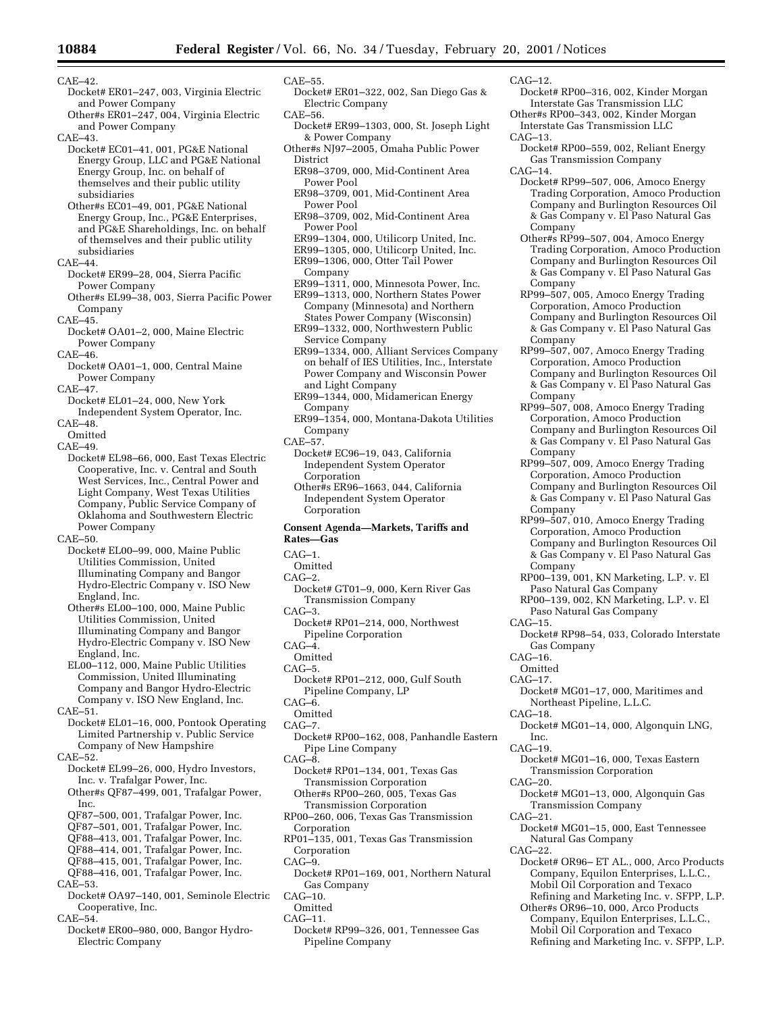## CAE–42.

- Docket# ER01–247, 003, Virginia Electric and Power Company
- Other#s ER01–247, 004, Virginia Electric and Power Company

CAE–43.

- Docket# EC01–41, 001, PG&E National Energy Group, LLC and PG&E National Energy Group, Inc. on behalf of themselves and their public utility subsidiaries
- Other#s EC01–49, 001, PG&E National Energy Group, Inc., PG&E Enterprises, and PG&E Shareholdings, Inc. on behalf of themselves and their public utility subsidiaries
- CAE–44.
- Docket# ER99–28, 004, Sierra Pacific Power Company
- Other#s EL99–38, 003, Sierra Pacific Power Company
- CAE–45.
- Docket# OA01–2, 000, Maine Electric Power Company
- CAE–46.
- Docket# OA01–1, 000, Central Maine Power Company
- CAE–47.
- Docket# EL01–24, 000, New York Independent System Operator, Inc.
- $CAF=48$
- Omitted
- CAE–49.
- Docket# EL98–66, 000, East Texas Electric Cooperative, Inc. v. Central and South West Services, Inc., Central Power and Light Company, West Texas Utilities Company, Public Service Company of Oklahoma and Southwestern Electric Power Company

 $CAE$ –50.

- Docket# EL00–99, 000, Maine Public Utilities Commission, United Illuminating Company and Bangor Hydro-Electric Company v. ISO New England, Inc.
- Other#s EL00–100, 000, Maine Public Utilities Commission, United Illuminating Company and Bangor Hydro-Electric Company v. ISO New England, Inc.
- EL00–112, 000, Maine Public Utilities Commission, United Illuminating Company and Bangor Hydro-Electric Company v. ISO New England, Inc.
- CAE–51.
- Docket# EL01–16, 000, Pontook Operating Limited Partnership v. Public Service Company of New Hampshire
- $CAF-52.$
- Docket# EL99–26, 000, Hydro Investors, Inc. v. Trafalgar Power, Inc.
- Other#s QF87–499, 001, Trafalgar Power, Inc.
- QF87–500, 001, Trafalgar Power, Inc.
- QF87–501, 001, Trafalgar Power, Inc.
- QF88–413, 001, Trafalgar Power, Inc.
- QF88–414, 001, Trafalgar Power, Inc.
- QF88–415, 001, Trafalgar Power, Inc.
- QF88–416, 001, Trafalgar Power, Inc.
- CAE–53.
- Docket# OA97–140, 001, Seminole Electric Cooperative, Inc.
- CAE–54.
- Docket# ER00–980, 000, Bangor Hydro-Electric Company
- CAE–55.
- Docket# ER01–322, 002, San Diego Gas & Electric Company CAE–56.
- 
- Docket# ER99–1303, 000, St. Joseph Light & Power Company
- Other#s NJ97–2005, Omaha Public Power District
- ER98–3709, 000, Mid-Continent Area Power Pool
- ER98–3709, 001, Mid-Continent Area Power Pool
- ER98–3709, 002, Mid-Continent Area Power Pool
- ER99–1304, 000, Utilicorp United, Inc.
- ER99–1305, 000, Utilicorp United, Inc.
- ER99–1306, 000, Otter Tail Power
- Company
- ER99–1311, 000, Minnesota Power, Inc.
- ER99–1313, 000, Northern States Power Company (Minnesota) and Northern States Power Company (Wisconsin)
- ER99–1332, 000, Northwestern Public Service Company
- ER99–1334, 000, Alliant Services Company on behalf of IES Utilities, Inc., Interstate Power Company and Wisconsin Power and Light Company
- ER99–1344, 000, Midamerican Energy Company
- ER99–1354, 000, Montana-Dakota Utilities Company
- CAE–57.
	- Docket# EC96–19, 043, California Independent System Operator **Corporation**
	- Other#s ER96–1663, 044, California Independent System Operator **Corporation**

#### **Consent Agenda—Markets, Tariffs and Rates—Gas**

- CAG–1.
- Omitted
- $CAG-2.$
- Docket# GT01–9, 000, Kern River Gas Transmission Company  $CAG-3.$
- 
- Docket# RP01–214, 000, Northwest Pipeline Corporation
- $CAG-4$ .
- Omitted
- CAG–5.
- Docket# RP01–212, 000, Gulf South Pipeline Company, LP
- $CAG–6$ .
- Omitted
- CAG–7.
- Docket# RP00–162, 008, Panhandle Eastern Pipe Line Company
- $CAG–8$ .
- Docket# RP01–134, 001, Texas Gas Transmission Corporation
- Other#s RP00–260, 005, Texas Gas Transmission Corporation
- RP00–260, 006, Texas Gas Transmission Corporation
- RP01–135, 001, Texas Gas Transmission
- Corporation
- $CAG-9.$
- Docket# RP01–169, 001, Northern Natural Gas Company
- CAG–10.
- Omitted
- CAG–11.
	- Docket# RP99–326, 001, Tennessee Gas Pipeline Company
- CAG–12.
- Docket# RP00–316, 002, Kinder Morgan Interstate Gas Transmission LLC
- Other#s RP00–343, 002, Kinder Morgan Interstate Gas Transmission LLC
- CAG–13.
	- Docket# RP00–559, 002, Reliant Energy Gas Transmission Company
	- CAG–14.
		- Docket# RP99–507, 006, Amoco Energy Trading Corporation, Amoco Production Company and Burlington Resources Oil & Gas Company v. El Paso Natural Gas Company
		- Other#s RP99–507, 004, Amoco Energy Trading Corporation, Amoco Production Company and Burlington Resources Oil & Gas Company v. El Paso Natural Gas Company
		- RP99–507, 005, Amoco Energy Trading Corporation, Amoco Production Company and Burlington Resources Oil & Gas Company v. El Paso Natural Gas Company
		- RP99–507, 007, Amoco Energy Trading Corporation, Amoco Production Company and Burlington Resources Oil & Gas Company v. El Paso Natural Gas Company
		- RP99–507, 008, Amoco Energy Trading Corporation, Amoco Production Company and Burlington Resources Oil & Gas Company v. El Paso Natural Gas Company
		- RP99–507, 009, Amoco Energy Trading Corporation, Amoco Production Company and Burlington Resources Oil & Gas Company v. El Paso Natural Gas Company

RP99–507, 010, Amoco Energy Trading Corporation, Amoco Production Company and Burlington Resources Oil & Gas Company v. El Paso Natural Gas

RP00–139, 001, KN Marketing, L.P. v. El Paso Natural Gas Company RP00–139, 002, KN Marketing, L.P. v. El Paso Natural Gas Company

Docket# RP98–54, 033, Colorado Interstate

Docket# MG01–17, 000, Maritimes and Northeast Pipeline, L.L.C.

Docket# MG01–14, 000, Algonquin LNG,

Docket# MG01–16, 000, Texas Eastern Transmission Corporation

Docket# MG01–13, 000, Algonquin Gas

Docket# MG01–15, 000, East Tennessee

Docket# OR96– ET AL., 000, Arco Products Company, Equilon Enterprises, L.L.C., Mobil Oil Corporation and Texaco Refining and Marketing Inc. v. SFPP, L.P. Other#s OR96–10, 000, Arco Products Company, Equilon Enterprises, L.L.C., Mobil Oil Corporation and Texaco Refining and Marketing Inc. v. SFPP, L.P.

Transmission Company

Natural Gas Company

Company

Gas Company

 $CAG-15$ .

CAG–16. Omitted CAG–17.

CAG–18.

CAG–20.

CAG–21.

CAG–22.

Inc. CAG–19.